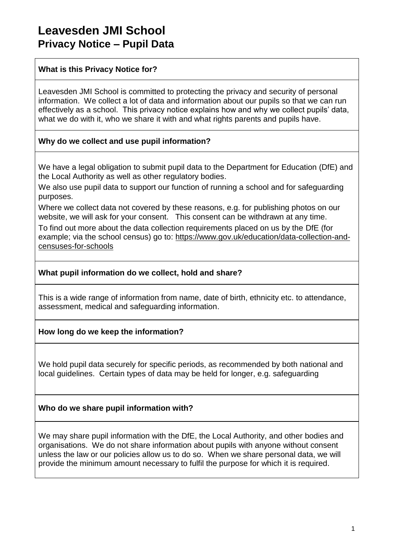# **Leavesden JMI School Privacy Notice – Pupil Data**

### **What is this Privacy Notice for?**

Leavesden JMI School is committed to protecting the privacy and security of personal information. We collect a lot of data and information about our pupils so that we can run effectively as a school. This privacy notice explains how and why we collect pupils' data, what we do with it, who we share it with and what rights parents and pupils have.

### **Why do we collect and use pupil information?**

We have a legal obligation to submit pupil data to the Department for Education (DfE) and the Local Authority as well as other regulatory bodies.

We also use pupil data to support our function of running a school and for safeguarding purposes.

Where we collect data not covered by these reasons, e.g. for publishing photos on our website, we will ask for your consent. This consent can be withdrawn at any time.

To find out more about the data collection requirements placed on us by the DfE (for example; via the school census) go to: [https://www.gov.uk/education/data-collection-and](https://www.gov.uk/education/data-collection-and-censuses-for-schools)[censuses-for-schools](https://www.gov.uk/education/data-collection-and-censuses-for-schools)

#### **What pupil information do we collect, hold and share?**

This is a wide range of information from name, date of birth, ethnicity etc. to attendance, assessment, medical and safeguarding information.

### **How long do we keep the information?**

We hold pupil data securely for specific periods, as recommended by both national and local guidelines. Certain types of data may be held for longer, e.g. safeguarding

### **Who do we share pupil information with?**

We may share pupil information with the DfE, the Local Authority, and other bodies and organisations. We do not share information about pupils with anyone without consent unless the law or our policies allow us to do so. When we share personal data, we will provide the minimum amount necessary to fulfil the purpose for which it is required.